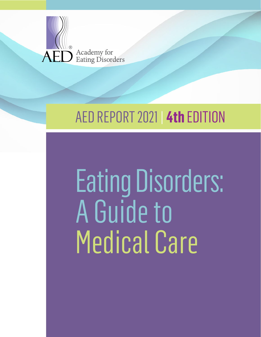

# AED REPORT 2021 | **4th** EDITION

# Eating Disorders: A Guide to Medical Care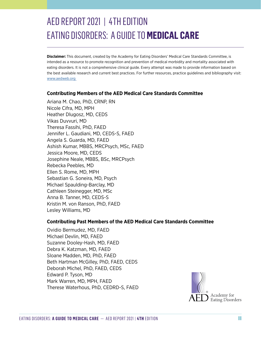# AED REPORT 2021 | 4TH EDITION EATING DISORDERS: A GUIDE TO **MEDICAL CARE**

**Disclaimer:** This document, created by the Academy for Eating Disorders' Medical Care Standards Committee, is intended as a resource to promote recognition and prevention of medical morbidity and mortality associated with eating disorders. It is not a comprehensive clinical guide. Every attempt was made to provide information based on the best available research and current best practices. For further resources, practice guidelines and bibliography visit: [www.aedweb.org](http://www.aedweb.org)

#### **Contributing Members of the AED Medical Care Standards Committee**

Ariana M. Chao, PhD, CRNP, RN Nicole Cifra, MD, MPH Heather Dlugosz, MD, CEDS Vikas Duvvuri, MD Theresa Fassihi, PhD, FAED Jennifer L. Gaudiani, MD, CEDS-S, FAED Angela S. Guarda, MD, FAED Ashish Kumar, MBBS, MRCPsych, MSc, FAED Jessica Moore, MD, CEDS Josephine Neale, MBBS, BSc, MRCPsych Rebecka Peebles, MD Ellen S. Rome, MD, MPH Sebastian G. Soneira, MD, Psych Michael Spaulding-Barclay, MD Cathleen Steinegger, MD, MSc Anna B. Tanner, MD, CEDS-S Kristin M. von Ranson, PhD, FAED Lesley Williams, MD

#### **Contributing Past Members of the AED Medical Care Standards Committee**

Ovidio Bermudez, MD, FAED Michael Devlin, MD, FAED Suzanne Dooley-Hash, MD, FAED Debra K. Katzman, MD, FAED Sloane Madden, MD, PhD, FAED Beth Hartman McGilley, PhD, FAED, CEDS Deborah Michel, PhD, FAED, CEDS Edward P. Tyson, MD Mark Warren, MD, MPH, FAED Therese Waterhous, PhD, CEDRD-S, FAED

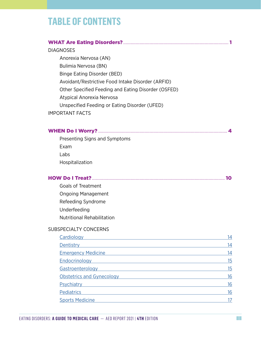# **TABLE OF CONTENTS**

Exam Labs

Hospitalization

Goals of Treatment

Underfeeding

SUBSPECIALTY CONCERNS

Ongoing Management Refeeding Syndrome

Nutritional Rehabilitation

| <b>DIAGNOSES</b>                                    |
|-----------------------------------------------------|
| Anorexia Nervosa (AN)                               |
| Bulimia Nervosa (BN)                                |
| Binge Eating Disorder (BED)                         |
| Avoidant/Restrictive Food Intake Disorder (ARFID)   |
| Other Specified Feeding and Eating Disorder (OSFED) |
| Atypical Anorexia Nervosa                           |
| Unspecified Feeding or Eating Disorder (UFED)       |
| <b>IMPORTANT FACTS</b>                              |
|                                                     |
|                                                     |
| Presenting Signs and Symptoms                       |

HOW Do I Treat?[..........................................................................................................](#page-13-0) 10

[Cardiology](#page-17-0) [Dentistry](#page-17-1)[Emergency Medicine](#page-17-1)[Endocrinology](#page-18-0)[Gastroenterology](#page-18-1)[Obstetrics and Gynecology](#page-19-0)[Psychiatry](#page-19-1) [Pediatrics](#page-19-2)[Sports Medicine](#page-20-0)

EATING DISORDERS: **A GUIDE TO MEDICAL CARE** — AED REPORT 2021 | **4TH** EDITION iii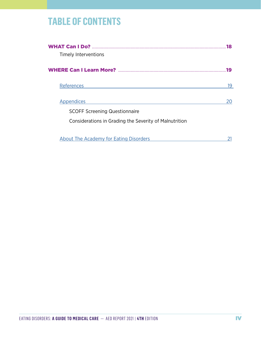# **TABLE OF CONTENTS**

| Timely Interventions                                   | 18  |
|--------------------------------------------------------|-----|
|                                                        | 19  |
| References                                             | 19. |
| Appendices                                             |     |
| <b>SCOFF Screening Questionnaire</b>                   |     |
| Considerations in Grading the Severity of Malnutrition |     |
|                                                        |     |
| <b>About The Academy for Eating Disorders</b>          |     |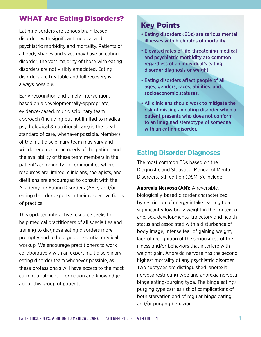# <span id="page-4-0"></span>WHAT Are Eating Disorders?

Eating disorders are serious brain-based disorders with significant medical and psychiatric morbidity and mortality. Patients of all body shapes and sizes may have an eating disorder; the vast majority of those with eating disorders are not visibly emaciated. Eating disorders are treatable and full recovery is always possible.

Early recognition and timely intervention, based on a developmentally-appropriate, evidence-based, multidisciplinary team approach (including but not limited to medical, psychological & nutritional care) is the ideal standard of care, whenever possible. Members of the multidisciplinary team may vary and will depend upon the needs of the patient and the availability of these team members in the patient's community. In communities where resources are limited, clinicians, therapists, and dietitians are encouraged to consult with the Academy for Eating Disorders (AED) and/or eating disorder experts in their respective fields of practice.

This updated interactive resource seeks to help medical practitioners of all specialties and training to diagnose eating disorders more promptly and to help guide essential medical workup. We encourage practitioners to work collaboratively with an expert multidisciplinary eating disorder team whenever possible, as these professionals will have access to the most current treatment information and knowledge about this group of patients.

# Key Points

- Eating disorders (EDs) are serious mental illnesses with high rates of mortality.
- Elevated rates of life-threatening medical and psychiatric morbidity are common regardless of an individual's eating disorder diagnosis or weight.
- Eating disorders affect people of all ages, genders, races, abilities, and socioeconomic statuses.
- All clinicians should work to mitigate the risk of missing an eating disorder when a patient presents who does not conform to an imagined stereotype of someone with an eating disorder.

# **Eating Disorder Diagnoses**

The most common EDs based on the Diagnostic and Statistical Manual of Mental Disorders, 5th edition (DSM-5), include:

**Anorexia Nervosa (AN):** A reversible, biologically-based disorder characterized by restriction of energy intake leading to a significantly low body weight in the context of age, sex, developmental trajectory and health status and associated with a disturbance of body image, intense fear of gaining weight, lack of recognition of the seriousness of the illness and/or behaviors that interfere with weight gain. Anorexia nervosa has the second highest mortality of any psychiatric disorder. Two subtypes are distinguished: anorexia nervosa restricting type and anorexia nervosa binge eating/purging type. The binge eating/ purging type carries risk of complications of both starvation and of regular binge eating and/or purging behavior.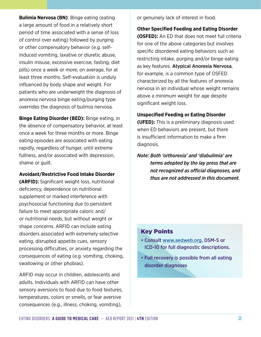**Bulimia Nervosa (BN)**: Binge eating (eating a large amount of food in a relatively short period of time associated with a sense of loss of control over eating) followed by purging or other compensatory behavior (e.g. selfinduced vomiting, laxative or diuretic abuse, insulin misuse, excessive exercise, fasting, diet pills) once a week or more, on average, for at least three months. Self-evaluation is unduly influenced by body shape and weight. For patients who are underweight the diagnosis of anorexia nervosa binge eating/purging type overrides the diagnosis of bulimia nervosa.

**Binge Eating Disorder (BED):** Binge eating, in the absence of compensatory behavior, at least once a week for three months or more. Binge eating episodes are associated with eating rapidly, regardless of hunger, until extreme fullness, and/or associated with depression, shame or guilt.

#### **Avoidant/Restrictive Food Intake Disorder**

**(ARFID):** Significant weight loss, nutritional deficiency, dependence on nutritional supplement or marked interference with psychosocial functioning due to persistent failure to meet appropriate caloric and/ or nutritional needs, but without weight or shape concerns. ARFID can include eating disorders associated with extremely selective eating, disrupted appetite cues, sensory processing difficulties, or anxiety regarding the consequences of eating (e.g. vomiting, choking, swallowing or other phobias).

ARFID may occur in children, adolescents and adults. Individuals with ARFID can have other sensory aversions to food due to food textures, temperatures, colors or smells, or fear aversive consequences (e.g., illness, choking, vomiting),

or genuinely lack of interest in food.

**Other Specified Feeding and Eating Disorder (OSFED):** An ED that does not meet full criteria for one of the above categories but involves specific disordered eating behaviors such as restricting intake, purging and/or binge eating as key features. Atypical Anorexia Nervosa, for example, is a common type of OSFED characterized by all the features of anorexia nervosa in an individual whose weight remains above a minimum weight for age despite significant weight loss.

**Unspecified Feeding or Eating Disorder (UFED):** This is a preliminary diagnosis used when ED behaviors are present, but there is insufficient information to make a firm diagnosis.

*Note: Both 'orthorexia' and 'diabulimia' are terms adopted by the lay press that are not recognized as official diagnoses, and thus are not addressed in this document.* 

# Key Points

- Consult [www.aedweb.org](http://www.aedweb.org), DSM-5 or ICD-10 for full diagnostic descriptions.
- Full recovery is possible from all eating disorder diagnoses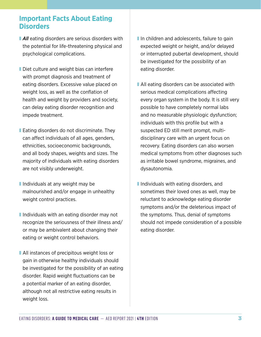# **Important Facts About Eating Disorders**

- **All** eating disorders are serious disorders with the potential for life-threatening physical and psychological complications.
- Diet culture and weight bias can interfere with prompt diagnosis and treatment of eating disorders. Excessive value placed on weight loss, as well as the conflation of health and weight by providers and society, can delay eating disorder recognition and impede treatment.
- Eating disorders do not discriminate. They can affect individuals of all ages, genders, ethnicities, socioeconomic backgrounds, and all body shapes, weights and sizes. The majority of individuals with eating disorders are not visibly underweight.
- Individuals at any weight may be malnourished and/or engage in unhealthy weight control practices.
- Individuals with an eating disorder may not recognize the seriousness of their illness and/ or may be ambivalent about changing their eating or weight control behaviors.
- All instances of precipitous weight loss or gain in otherwise healthy individuals should be investigated for the possibility of an eating disorder. Rapid weight fluctuations can be a potential marker of an eating disorder, although not all restrictive eating results in weight loss.
- In children and adolescents, failure to gain expected weight or height, and/or delayed or interrupted pubertal development, should be investigated for the possibility of an eating disorder.
- All eating disorders can be associated with serious medical complications affecting every organ system in the body. It is still very possible to have completely normal labs and no measurable physiologic dysfunction; individuals with this profile but with a suspected ED still merit prompt, multidisciplinary care with an urgent focus on recovery. Eating disorders can also worsen medical symptoms from other diagnoses such as irritable bowel syndrome, migraines, and dysautonomia.
- Individuals with eating disorders, and sometimes their loved ones as well, may be reluctant to acknowledge eating disorder symptoms and/or the deleterious impact of the symptoms. Thus, denial of symptoms should not impede consideration of a possible eating disorder.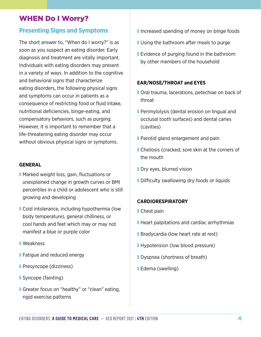# <span id="page-7-0"></span>WHEN Do I Worry?

# **Presenting Signs and Symptoms**

The short answer to, "When do I worry?" is as soon as you suspect an eating disorder. Early diagnosis and treatment are vitally important. Individuals with eating disorders may present in a variety of ways. In addition to the cognitive and behavioral signs that characterize eating disorders, the following physical signs and symptoms can occur in patients as a consequence of restricting food or fluid intake, nutritional deficiencies, binge-eating, and compensatory behaviors, such as purging. However, it is important to remember that a life-threatening eating disorder may occur without obvious physical signs or symptoms.

#### **GENERAL**

- Marked weight loss, gain, fluctuations or unexplained change in growth curves or BMI percentiles in a child or adolescent who is still growing and developing
- Cold intolerance, including hypothermia (low body temperature), general chilliness, or cool hands and feet which may or may not manifest a blue or purple color
- Weakness
- Fatigue and reduced energy
- Presyncope (dizziness)
- Syncope (fainting)
- Greater focus on "healthy" or "clean" eating, rigid exercise patterns
- Increased spending of money on binge foods
- Using the bathroom after meals to purge
- Evidence of purging found in the bathroom by other members of the household

#### **EAR/NOSE/THROAT and EYES**

- Oral trauma, lacerations, petechiae on back of throat
- Perimylolysis (dental erosion on lingual and occlusal tooth surfaces) and dental caries (cavities)
- Parotid gland enlargement and pain
- Cheilosis (cracked, sore skin at the corners of the mouth
- **Dry eyes, blurred vision**
- Difficulty swallowing dry foods or liquids

#### **CARDIORESPIRATORY**

- Chest pain
- Heart palpitations and cardiac arrhythmias
- Bradycardia (low heart rate at rest)
- Hypotension (low blood pressure)
- **Dyspnea (shortness of breath)**
- Edema (swelling)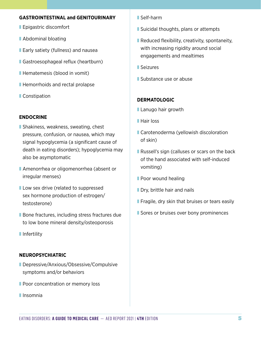#### **GASTROINTESTINAL and GENITOURINARY**

- Epigastric discomfort
- Abdominal bloating
- Early satiety (fullness) and nausea
- Gastroesophageal reflux (heartburn)
- Hematemesis (blood in vomit)
- Hemorrhoids and rectal prolapse
- Constipation

# **ENDOCRINE**

- Shakiness, weakness, sweating, chest pressure, confusion, or nausea, which may signal hypoglycemia (a significant cause of death in eating disorders); hypoglycemia may also be asymptomatic
- Amenorrhea or oligomenorrhea (absent or irregular menses)
- **I** Low sex drive (related to suppressed sex hormone production of estrogen/ testosterone)
- Bone fractures, including stress fractures due to low bone mineral density/osteoporosis
- **■** Infertility

# **NEUROPSYCHIATRIC**

- Depressive/Anxious/Obsessive/Compulsive symptoms and/or behaviors
- **Poor concentration or memory loss**
- ❚ Insomnia
- Self-harm
- Suicidal thoughts, plans or attempts
- Reduced flexibility, creativity, spontaneity, with increasing rigidity around social engagements and mealtimes
- **■** Seizures
- Substance use or abuse

# **DERMATOLOGIC**

- Lanugo hair growth
- Hair loss
- Carotenoderma (yellowish discoloration of skin)
- Russell's sign (calluses or scars on the back of the hand associated with self-induced vomiting)
- Poor wound healing
- Dry, brittle hair and nails
- Fragile, dry skin that bruises or tears easily
- **■** Sores or bruises over bony prominences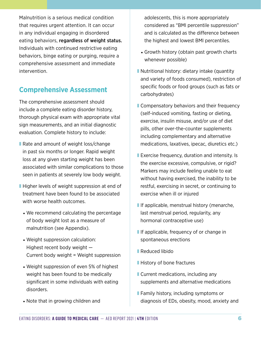Malnutrition is a serious medical condition that requires urgent attention. It can occur in any individual engaging in disordered eating behaviors, regardless of weight status. Individuals with continued restrictive eating behaviors, binge eating or purging, require a comprehensive assessment and immediate intervention.

# **Comprehensive Assessment**

The comprehensive assessment should include a complete eating disorder history, thorough physical exam with appropriate vital sign measurements, and an initial diagnostic evaluation. Complete history to include:

- Rate and amount of weight loss/change in past six months or longer. Rapid weight loss at any given starting weight has been associated with similar complications to those seen in patients at severely low body weight.
- Higher levels of weight suppression at end of treatment have been found to be associated with worse health outcomes.
	- We recommend calculating the percentage of body weight lost as a measure of malnutrition (see Appendix).
	- Weight suppression calculation: Highest recent body weight — Current body weight = Weight suppression
	- Weight suppression of even 5% of highest weight has been found to be medically significant in some individuals with eating disorders.
	- Note that in growing children and

adolescents, this is more appropriately considered as "BMI percentile suppression" and is calculated as the difference between the highest and lowest BMI percentiles.

- Growth history (obtain past growth charts whenever possible)
- Nutritional history: dietary intake (quantity and variety of foods consumed), restriction of specific foods or food groups (such as fats or carbohydrates)
- Compensatory behaviors and their frequency (self-induced vomiting, fasting or dieting, exercise, insulin misuse, and/or use of diet pills, other over-the-counter supplements including complementary and alternative medications, laxatives, ipecac, diuretics etc.)
- Exercise frequency, duration and intensity. Is the exercise excessive, compulsive, or rigid? Markers may include feeling unable to eat without having exercised, the inability to be restful, exercising in secret, or continuing to exercise when ill or injured
- If applicable, menstrual history (menarche, last menstrual period, regularity, any hormonal contraceptive use)
- If applicable, frequency of or change in spontaneous erections
- Reduced libido
- History of bone fractures
- Current medications, including any supplements and alternative medications
- Family history, including symptoms or diagnosis of EDs, obesity, mood, anxiety and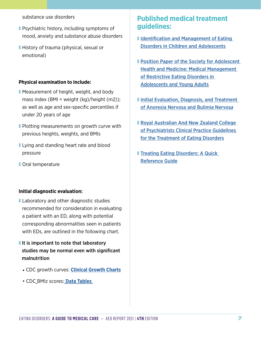substance use disorders

- Psychiatric history, including symptoms of mood, anxiety and substance abuse disorders
- History of trauma (physical, sexual or emotional)

#### **Physical examination to include:**

- Measurement of height, weight, and body mass index (BMI = weight  $(kg)/$ height  $(m2)$ ); as well as age and sex-specific percentiles if under 20 years of age
- Plotting measurements on growth curve with previous heights, weights, and BMIs
- **I** Lying and standing heart rate and blood pressure
- Oral temperature

#### **Initial diagnostic evaluation:**

- Laboratory and other diagnostic studies recommended for consideration in evaluating a patient with an ED, along with potential corresponding abnormalities seen in patients with EDs, are outlined in the following chart.
- **It is important to note that laboratory** studies may be normal even with significant malnutrition
	- CDC growth curves: **[Clinical Growth Chart](https://www.cdc.gov/growthcharts/clinical_charts.htm)s**
	- CDC BMIz scores: **[Data Tables](https://www.cdc.gov/growthcharts/data_tables.htm)**

# **Published medical treatment guidelines:**

- Identification and Management of Eating [Disorders in Children and Adolescents](https://pediatrics.aappublications.org/content/147/1/e2020040279)
- Position Paper of the Society for Adolescent [Health and Medicine: Medical Management](https://www.nice.org.uk/guidance/ng69/resources/eating-disorders-recognition-and-treatment-pdf-183758215981)  [of Restrictive Eating Disorders in](https://www.nice.org.uk/guidance/ng69/resources/eating-disorders-recognition-and-treatment-pdf-183758215981)  [Adolescents and Young Adults](https://www.nice.org.uk/guidance/ng69/resources/eating-disorders-recognition-and-treatment-pdf-183758215981)
- **Initial Evaluation, Diagnosis, and Treatment** [of Anorexia Nervosa and Bulimia Nervos](https://www.aafp.org/afp/2015/0101/afp20150101p46.pdfhttp://)*a*
- Royal Australian And New Zealand College [of Psychiatrists Clinical Practice Guidelines](Royal Australian and New Zealand
College of Psychiatrists clinical
practice guidelines for the treatment of
eating disorders)  [for the Treatment of Eating Disorders](Royal Australian and New Zealand
College of Psychiatrists clinical
practice guidelines for the treatment of
eating disorders)
- Treating Eating Disorders: A Quick [Reference Guide](https://psychiatryonline.org/pb/assets/raw/sitewide/practice_guidelines/guidelines/eatingdisorders-guide.pdf)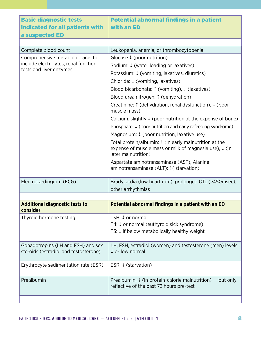| <b>Basic diagnostic tests</b>                                                                       | <b>Potential abnormal findings in a patient</b>                                                                                                    |  |
|-----------------------------------------------------------------------------------------------------|----------------------------------------------------------------------------------------------------------------------------------------------------|--|
| indicated for all patients with                                                                     | with an ED                                                                                                                                         |  |
| a suspected ED                                                                                      |                                                                                                                                                    |  |
|                                                                                                     |                                                                                                                                                    |  |
| Complete blood count                                                                                | Leukopenia, anemia, or thrombocytopenia                                                                                                            |  |
| Comprehensive metabolic panel to<br>include electrolytes, renal function<br>tests and liver enzymes | Glucose: $\frac{1}{2}$ (poor nutrition)                                                                                                            |  |
|                                                                                                     | Sodium: ↓ (water loading or laxatives)                                                                                                             |  |
|                                                                                                     | Potassium: ↓ (vomiting, laxatives, diuretics)                                                                                                      |  |
|                                                                                                     | Chloride: $\downarrow$ (vomiting, laxatives)                                                                                                       |  |
|                                                                                                     | Blood bicarbonate: $\uparrow$ (vomiting), $\downarrow$ (laxatives)                                                                                 |  |
|                                                                                                     | Blood urea nitrogen: 1 (dehydration)                                                                                                               |  |
|                                                                                                     | Creatinine: $\uparrow$ (dehydration, renal dysfunction), $\downarrow$ (poor<br>muscle mass)                                                        |  |
|                                                                                                     | Calcium: slightly $\frac{1}{2}$ (poor nutrition at the expense of bone)                                                                            |  |
|                                                                                                     | Phosphate: $\downarrow$ (poor nutrition and early refeeding syndrome)                                                                              |  |
|                                                                                                     | Magnesium: $\downarrow$ (poor nutrition, laxative use)                                                                                             |  |
|                                                                                                     | Total protein/albumin: 1 (in early malnutrition at the<br>expense of muscle mass or milk of magnesia use), $\downarrow$ (in<br>later malnutrition) |  |
|                                                                                                     | Aspartate aminotransaminase (AST), Alanine<br>aminotransaminase (ALT): <sup>*</sup> : ( starvation)                                                |  |
| Electrocardiogram (ECG)                                                                             | Bradycardia (low heart rate), prolonged QTc (>450msec),                                                                                            |  |
|                                                                                                     | other arrhythmias                                                                                                                                  |  |
|                                                                                                     |                                                                                                                                                    |  |
| <b>Additional diagnostic tests to</b><br>consider                                                   | Potential abnormal findings in a patient with an ED                                                                                                |  |
| Thyroid hormone testing                                                                             | TSH: ↓ or normal                                                                                                                                   |  |
|                                                                                                     | T4: $\downarrow$ or normal (euthyroid sick syndrome)                                                                                               |  |
|                                                                                                     | T3: $\downarrow$ if below metabolically healthy weight                                                                                             |  |
| Gonadotropins (LH and FSH) and sex<br>steroids (estradiol and testosterone)                         | LH, FSH, estradiol (women) and testosterone (men) levels:<br>↓ or low normal                                                                       |  |
| Erythrocyte sedimentation rate (ESR)                                                                | ESR: $\downarrow$ (starvation)                                                                                                                     |  |
| Prealbumin                                                                                          | Prealbumin: $\frac{1}{2}$ (in protein-calorie malnutrition) – but only<br>reflective of the past 72 hours pre-test                                 |  |
|                                                                                                     |                                                                                                                                                    |  |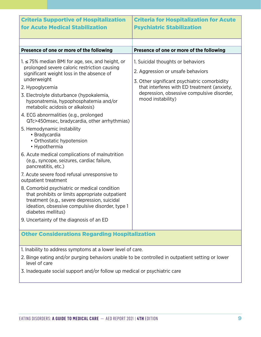| <b>Criteria Supportive of Hospitalization</b><br><b>for Acute Medical Stabilization</b>                                                                                                                                                                                                                                                                                                                                                                                                                                                                                                                                                                                                                                                                                                                                                                                                                                                                                                                                            | <b>Criteria for Hospitalization for Acute</b><br><b>Psychiatric Stabilization</b>                                                                                                                                                        |  |
|------------------------------------------------------------------------------------------------------------------------------------------------------------------------------------------------------------------------------------------------------------------------------------------------------------------------------------------------------------------------------------------------------------------------------------------------------------------------------------------------------------------------------------------------------------------------------------------------------------------------------------------------------------------------------------------------------------------------------------------------------------------------------------------------------------------------------------------------------------------------------------------------------------------------------------------------------------------------------------------------------------------------------------|------------------------------------------------------------------------------------------------------------------------------------------------------------------------------------------------------------------------------------------|--|
|                                                                                                                                                                                                                                                                                                                                                                                                                                                                                                                                                                                                                                                                                                                                                                                                                                                                                                                                                                                                                                    |                                                                                                                                                                                                                                          |  |
|                                                                                                                                                                                                                                                                                                                                                                                                                                                                                                                                                                                                                                                                                                                                                                                                                                                                                                                                                                                                                                    |                                                                                                                                                                                                                                          |  |
| Presence of one or more of the following                                                                                                                                                                                                                                                                                                                                                                                                                                                                                                                                                                                                                                                                                                                                                                                                                                                                                                                                                                                           | Presence of one or more of the following                                                                                                                                                                                                 |  |
| $1 \le 75\%$ median BMI for age, sex, and height, or<br>prolonged severe caloric restriction causing<br>significant weight loss in the absence of<br>underweight<br>2. Hypoglycemia<br>3. Electrolyte disturbance (hypokalemia,<br>hyponatremia, hypophosphatemia and/or<br>metabolic acidosis or alkalosis)<br>4. ECG abnormalities (e.g., prolonged<br>QTc>450msec, bradycardia, other arrhythmias)<br>5. Hemodynamic instability<br>• Bradycardia<br>• Orthostatic hypotension<br>• Hypothermia<br>6. Acute medical complications of malnutrition<br>(e.g., syncope, seizures, cardiac failure,<br>pancreatitis, etc.)<br>7. Acute severe food refusal unresponsive to<br>outpatient treatment<br>8. Comorbid psychiatric or medical condition<br>that prohibits or limits appropriate outpatient<br>treatment (e.g., severe depression, suicidal<br>ideation, obsessive compulsive disorder, type 1<br>diabetes mellitus)<br>9. Uncertainty of the diagnosis of an ED<br><b>Other Considerations Regarding Hospitalization</b> | 1. Suicidal thoughts or behaviors<br>2. Aggression or unsafe behaviors<br>3. Other significant psychiatric comorbidity<br>that interferes with ED treatment (anxiety,<br>depression, obsessive compulsive disorder,<br>mood instability) |  |
|                                                                                                                                                                                                                                                                                                                                                                                                                                                                                                                                                                                                                                                                                                                                                                                                                                                                                                                                                                                                                                    |                                                                                                                                                                                                                                          |  |
| 1. Inability to address symptoms at a lower level of care.<br>Dinan police and for propriety leaker down up also to be a popular line of the structure to a                                                                                                                                                                                                                                                                                                                                                                                                                                                                                                                                                                                                                                                                                                                                                                                                                                                                        |                                                                                                                                                                                                                                          |  |

- 2. Binge eating and/or purging behaviors unable to be controlled in outpatient setting or lower level of care
- 3. Inadequate social support and/or follow up medical or psychiatric care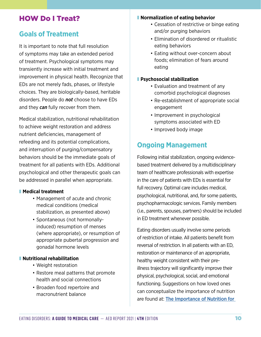# <span id="page-13-0"></span>HOW Do I Treat?

# **Goals of Treatment**

It is important to note that full resolution of symptoms may take an extended period of treatment. Psychological symptoms may transiently increase with initial treatment and improvement in physical health. Recognize that EDs are not merely fads, phases, or lifestyle choices. They are biologically-based, heritable disorders. People do *not* choose to have EDs and they *can* fully recover from them.

Medical stabilization, nutritional rehabilitation to achieve weight restoration and address nutrient deficiencies, management of refeeding and its potential complications, and interruption of purging/compensatory behaviors should be the immediate goals of treatment for all patients with EDs. Additional psychological and other therapeutic goals can be addressed in parallel when appropriate.

#### ❚ **Medical treatment**

- Management of acute and chronic medical conditions (medical stabilization, as presented above)
- Spontaneous (not hormonallyinduced) resumption of menses (where appropriate), or resumption of appropriate pubertal progression and gonadal hormone levels

# ❚ **Nutritional rehabilitation**

- Weight restoration
- Restore meal patterns that promote health and social connections
- Broaden food repertoire and macronutrient balance

#### ❚ **Normalization of eating behavior**

- Cessation of restrictive or binge eating and/or purging behaviors
- Elimination of disordered or ritualistic eating behaviors
- Eating without over-concern about foods; elimination of fears around eating

#### ❚ **Psychosocial stabilization**

- Evaluation and treatment of any comorbid psychological diagnoses
- Re-establishment of appropriate social engagement
- Improvement in psychological symptoms associated with ED
- Improved body image

# **Ongoing Management**

Following initial stabilization, ongoing evidencebased treatment delivered by a multidisciplinary team of healthcare professionals with expertise in the care of patients with EDs is essential for full recovery. Optimal care includes medical, psychological, nutritional, and, for some patients, psychopharmacologic services. Family members (i.e., parents, spouses, partners) should be included in ED treatment whenever possible.

Eating disorders usually involve some periods of restriction of intake. All patients benefit from reversal of restriction. In all patients with an ED, restoration or maintenance of an appropriate, healthy weight consistent with their preillness trajectory will significantly improve their physical, psychological, social, and emotional functioning. Suggestions on how loved ones can conceptualize the importance of nutrition are found at: [The Importance of Nutrition for](https://simplebooklet.com/nutritionguide2015#page=1)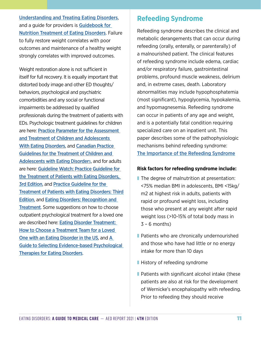[Understanding and Treating Eating Disorders](https://simplebooklet.com/nutritionguide2015#page=1), and a guide for providers is **Guidebook for** [Nutrition Treatment of Eating Disorders](https://higherlogicdownload.s3.amazonaws.com/AEDWEB/27a3b69a-8aae-45b2-a04c-2a078d02145d/UploadedImages/Publications_Slider/FINAL_AED_Purple_Nutrition_Book.pdf). Failure to fully restore weight correlates with poor outcomes and maintenance of a healthy weight strongly correlates with improved outcomes.

Weight restoration alone is not sufficient in itself for full recovery. It is equally important that distorted body image and other ED thoughts/ behaviors, psychological and psychiatric comorbidities and any social or functional impairments be addressed by qualified professionals during the treatment of patients with EDs. Psychologic treatment guidelines for children are here: [Practice Parameter for the Assessment](https://www.jaacap.org/article/S0890-8567(15)00070-2/pdf)  [and Treatment of Children and Adolescents](https://www.jaacap.org/article/S0890-8567(15)00070-2/pdf)  [With Eating Disorders](https://www.jaacap.org/article/S0890-8567(15)00070-2/pdf), and [Canadian Practice](https://jeatdisord.biomedcentral.com/track/pdf/10.1186/s40337-020-0277-8.pdf)  [Guidelines for the Treatment of Children and](https://jeatdisord.biomedcentral.com/track/pdf/10.1186/s40337-020-0277-8.pdf)  [Adolescents with Eating Disorder](https://jeatdisord.biomedcentral.com/track/pdf/10.1186/s40337-020-0277-8.pdf)s, and for adults are here: [Guideline Watch: Practice Guideline for](https://psychiatryonline.org/pb/assets/raw/sitewide/practice_guidelines/guidelines/eatingdisorders-watch.pdf)  [the Treatment of Patients with Eating Disorders,](https://psychiatryonline.org/pb/assets/raw/sitewide/practice_guidelines/guidelines/eatingdisorders-watch.pdf)  [3rd Edition](https://psychiatryonline.org/pb/assets/raw/sitewide/practice_guidelines/guidelines/eatingdisorders-watch.pdf), and [Practice Guideline for the](https://psychiatryonline.org/pb/assets/raw/sitewide/practice_guidelines/guidelines/eatingdisorders.pdf)  [Treatment of Patients with Eating Disorders: Third](https://psychiatryonline.org/pb/assets/raw/sitewide/practice_guidelines/guidelines/eatingdisorders.pdf)  [Edition](https://psychiatryonline.org/pb/assets/raw/sitewide/practice_guidelines/guidelines/eatingdisorders.pdf), and [Eating Disorders: Recognition and](https://www.nice.org.uk/guidance/ng69/resources/eating-disorders-recognition-and-treatment-pdf-1837582159813)  **[Treatment](https://www.nice.org.uk/guidance/ng69/resources/eating-disorders-recognition-and-treatment-pdf-1837582159813).** Some suggestions on how to choose outpatient psychological treatment for a loved one are described here: [Eating Disorder Treatment:](https://simplebooklet.com/treatmentguide#page=1)  [How to Choose a Treatment Team for a Loved](https://simplebooklet.com/treatmentguide#page=1)  [One with an Eating Disorder in the US](https://simplebooklet.com/treatmentguide#page=1), and [A](https://higherlogicdownload.s3.amazonaws.com/AEDWEB/27a3b69a-8aae-45b2-a04c-2a078d02145d/UploadedImages/Publications_Slider/FINAL_AED_Psycholohgical_book.pdf)  [Guide to Selecting Evidence-based Psychological](https://higherlogicdownload.s3.amazonaws.com/AEDWEB/27a3b69a-8aae-45b2-a04c-2a078d02145d/UploadedImages/Publications_Slider/FINAL_AED_Psycholohgical_book.pdf)  [Therapies for Eating Disorders](https://higherlogicdownload.s3.amazonaws.com/AEDWEB/27a3b69a-8aae-45b2-a04c-2a078d02145d/UploadedImages/Publications_Slider/FINAL_AED_Psycholohgical_book.pdf).

# **Refeeding Syndrome**

Refeeding syndrome describes the clinical and metabolic derangements that can occur during refeeding (orally, enterally, or parenterally) of a malnourished patient. The clinical features of refeeding syndrome include edema, cardiac and/or respiratory failure, gastrointestinal problems, profound muscle weakness, delirium and, in extreme cases, death. Laboratory abnormalities may include hypophosphatemia (most significant), hypoglycemia, hypokalemia, and hypomagnesemia. Refeeding syndrome can occur in patients of any age and weight, and is a potentially fatal condition requiring specialized care on an inpatient unit. This paper describes some of the pathophysiologic mechanisms behind refeeding syndrome: [The Importance of the Refeeding Syndrome](https://www.hopkinsmedicine.org/gim/_pdf/consult/refeeding_syndrome.pdf)

# **Risk factors for refeeding syndrome include:**

- The degree of malnutrition at presentation: <75% median BMI in adolescents, BMI <15kg/ m2 at highest risk in adults, patients with rapid or profound weight loss, including those who present at any weight after rapid weight loss (>10-15% of total body mass in  $3 - 6$  months)
- Patients who are chronically undernourished and those who have had little or no energy intake for more than 10 days
- History of refeeding syndrome
- Patients with significant alcohol intake (these patients are also at risk for the development of Wernicke's encephalopathy with refeeding. Prior to refeeding they should receive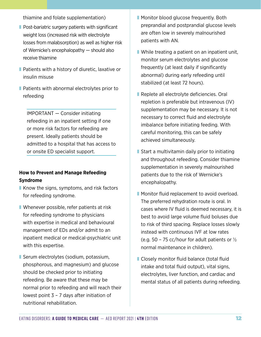thiamine and folate supplementation)

- Post-bariatric surgery patients with significant weight loss (increased risk with electrolyte losses from malabsorption) as well as higher risk of Wernicke's encephalopathy — should also receive thiamine
- Patients with a history of diuretic, laxative or insulin misuse
- Patients with abnormal electrolytes prior to refeeding

IMPORTANT — Consider initiating refeeding in an inpatient setting if one or more risk factors for refeeding are present. Ideally patients should be admitted to a hospital that has access to or onsite ED specialist support.

# **How to Prevent and Manage Refeeding Syndrome**

- Know the signs, symptoms, and risk factors for refeeding syndrome.
- Whenever possible, refer patients at risk for refeeding syndrome to physicians with expertise in medical and behavioural management of EDs and/or admit to an inpatient medical or medical-psychiatric unit with this expertise.
- Serum electrolytes (sodium, potassium, phosphorous, and magnesium) and glucose should be checked prior to initiating refeeding. Be aware that these may be normal prior to refeeding and will reach their lowest point 3 – 7 days after initiation of nutritional rehabilitation.
- Monitor blood glucose frequently. Both preprandial and postprandial glucose levels are often low in severely malnourished patients with AN.
- While treating a patient on an inpatient unit, monitor serum electrolytes and glucose frequently (at least daily if significantly abnormal) during early refeeding until stabilized (at least 72 hours).
- Replete all electrolyte deficiencies. Oral repletion is preferable but intravenous (IV) supplementation may be necessary. It is not necessary to correct fluid and electrolyte imbalance before initiating feeding. With careful monitoring, this can be safely achieved simultaneously.
- Start a multivitamin daily prior to initiating and throughout refeeding. Consider thiamine supplementation in severely malnourished patients due to the risk of Wernicke's encephalopathy.
- Monitor fluid replacement to avoid overload. The preferred rehydration route is oral. In cases where IV fluid is deemed necessary, it is best to avoid large volume fluid boluses due to risk of third spacing. Replace losses slowly instead with continuous IVF at low rates (e.g. 50 – 75 cc/hour for adult patients or  $\frac{1}{2}$ normal maintenance in children).
- Closely monitor fluid balance (total fluid intake and total fluid output), vital signs, electrolytes, liver function, and cardiac and mental status of all patients during refeeding.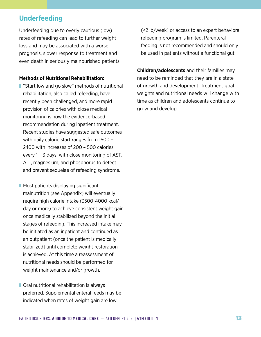# **Underfeeding**

Underfeeding due to overly cautious (low) rates of refeeding can lead to further weight loss and may be associated with a worse prognosis, slower response to treatment and even death in seriously malnourished patients.

#### **Methods of Nutritional Rehabilitation:**

- "Start low and go slow" methods of nutritional rehabilitation, also called refeeding, have recently been challenged, and more rapid provision of calories with close medical monitoring is now the evidence-based recommendation during inpatient treatment. Recent studies have suggested safe outcomes with daily calorie start ranges from 1600 – 2400 with increases of 200 – 500 calories every 1 – 3 days, with close monitoring of AST, ALT, magnesium, and phosphorus to detect and prevent sequelae of refeeding syndrome.
- Most patients displaying significant malnutrition (see Appendix) will eventually require high calorie intake (3500-4000 kcal/ day or more) to achieve consistent weight gain once medically stabilized beyond the initial stages of refeeding. This increased intake may be initiated as an inpatient and continued as an outpatient (once the patient is medically stabilized) until complete weight restoration is achieved. At this time a reassessment of nutritional needs should be performed for weight maintenance and/or growth.
- Oral nutritional rehabilitation is always preferred. Supplemental enteral feeds may be indicated when rates of weight gain are low

(<2 lb/week) or access to an expert behavioral refeeding program is limited. Parenteral feeding is not recommended and should only be used in patients without a functional gut.

**Children/adolescents** and their families may need to be reminded that they are in a state of growth and development. Treatment goal weights and nutritional needs will change with time as children and adolescents continue to grow and develop.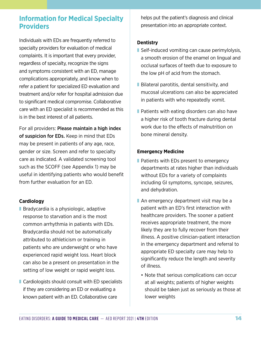# **Information for Medical Specialty Providers**

Individuals with EDs are frequently referred to specialty providers for evaluation of medical complaints. It is important that every provider, regardless of specialty, recognize the signs and symptoms consistent with an ED, manage complications appropriately, and know when to refer a patient for specialized ED evaluation and treatment and/or refer for hospital admission due to significant medical compromise. Collaborative care with an ED specialist is recommended as this is in the best interest of all patients.

For all providers: Please maintain a high index of suspicion for EDs. Keep in mind that EDs may be present in patients of any age, race, gender or size. Screen and refer to specialty care as indicated. A validated screening tool such as the SCOFF (see Appendix 1) may be useful in identifying patients who would benefit from further evaluation for an ED.

# <span id="page-17-0"></span>**Cardiology**

- Bradycardia is a physiologic, adaptive response to starvation and is the most common arrhythmia in patients with EDs. Bradycardia should not be automatically attributed to athleticism or training in patients who are underweight or who have experienced rapid weight loss. Heart block can also be a present on presentation in the setting of low weight or rapid weight loss.
- Cardiologists should consult with ED specialists if they are considering an ED or evaluating a known patient with an ED. Collaborative care

helps put the patient's diagnosis and clinical presentation into an appropriate context.

### <span id="page-17-1"></span>**Dentistry**

- Self-induced vomiting can cause perimylolysis, a smooth erosion of the enamel on lingual and occlusal surfaces of teeth due to exposure to the low pH of acid from the stomach.
- Bilateral parotitis, dental sensitivity, and mucosal ulcerations can also be appreciated in patients with who repeatedly vomit.
- Patients with eating disorders can also have a higher risk of tooth fracture during dental work due to the effects of malnutrition on bone mineral density.

#### **Emergency Medicine**

- Patients with EDs present to emergency departments at rates higher than individuals without EDs for a variety of complaints including GI symptoms, syncope, seizures, and dehydration.
- An emergency department visit may be a patient with an ED's first interaction with healthcare providers. The sooner a patient receives appropriate treatment, the more likely they are to fully recover from their illness. A positive clinician-patient interaction in the emergency department and referral to appropriate ED specialty care may help to significantly reduce the length and severity of illness.
	- Note that serious complications can occur at all weights; patients of higher weights should be taken just as seriously as those at lower weights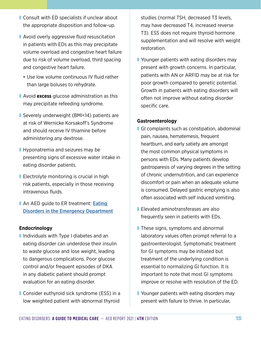- Consult with ED specialists if unclear about the appropriate disposition and follow-up.
- Avoid overly aggressive fluid resuscitation in patients with EDs as this may precipitate volume overload and congestive heart failure due to risk of volume overload, third spacing and congestive heart failure.
	- Use low volume continuous IV fluid rather than large boluses to rehydrate.
- **E** Avoid **excess** glucose administration as this may precipitate refeeding syndrome.
- Severely underweight (BMI<14) patients are at risk of Wernicke Korsakoff's Syndrome and should receive IV thiamine before administering any dextrose.
- Hyponatremia and seizures may be presenting signs of excessive water intake in eating disorder patients.
- Electrolyte monitoring is crucial in high risk patients, especially in those receiving intravenous fluids.
- An AED guide to ER treatment: **Eating** [Disorders in the Emergency Department](https://higherlogicdownload.s3.amazonaws.com/AEDWEB/27a3b69a-8aae-45b2-a04c-2a078d02145d/UploadedImages/Documents/AED_Emergency_Room_Guide_2nd_Edition_WEB.pd)

#### <span id="page-18-0"></span>**Endocrinology**

- Individuals with Type I diabetes and an eating disorder can underdose their insulin to waste glucose and lose weight, leading to dangerous complications. Poor glucose control and/or frequent episodes of DKA in any diabetic patient should prompt evaluation for an eating disorder.
- Consider euthyroid sick syndrome (ESS) in a low weighted patient with abnormal thyroid

studies (normal TSH, decreased T3 levels, may have decreased T4, increased reverse T3). ESS does not require thyroid hormone supplementation and will resolve with weight restoration.

■ Younger patients with eating disorders may present with growth concerns. In particular, patients with AN or ARFID may be at risk for poor growth compared to genetic potential. Growth in patients with eating disorders will often not improve without eating disorder specific care.

#### <span id="page-18-1"></span>**Gastroenterology**

- GI complaints such as constipation, abdominal pain, nausea, hematemesis, frequent heartburn, and early satiety are amongst the most common physical symptoms in persons with EDs. Many patients develop gastroparesis of varying degrees in the setting of chronic undernutrition, and can experience discomfort or pain when an adequate volume is consumed. Delayed gastric emptying is also often associated with self induced vomiting.
- Elevated aminotransferases are also frequently seen in patients with EDs.
- These signs, symptoms and abnormal laboratory values often prompt referral to a gastroenterologist. Symptomatic treatment for GI symptoms may be initiated but treatment of the underlying condition is essential to normalizing GI function. It is important to note that most GI symptoms improve or resolve with resolution of the ED.
- Younger patients with eating disorders may present with failure to thrive. In particular,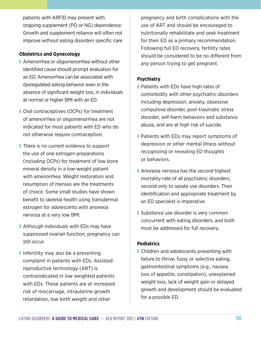patients with ARFID may present with ongoing supplement (PO or NG) dependence. Growth and supplement reliance will often not improve without eating disorders specific care.

#### <span id="page-19-0"></span>**Obstetrics and Gynecology**

- Amenorrhea or oligomenorrhea without other identified cause should prompt evaluation for an ED. Amenorrhea can be associated with dysregulated eating behavior even in the absence of significant weight loss, in individuals at normal or higher BMI with an ED.
- Oral contraceptives (OCPs) for treatment of amenorrhea or oligomenorrhea are not indicated for most patients with ED who do not otherwise require contraception.
- There is no current evidence to support the use of oral estrogen preparations (including OCPs) for treatment of low bone mineral density in a low-weight patient with amenorrhea. Weight restoration and resumption of menses are the treatments of choice. Some small studies have shown benefit to skeletal health using transdermal estrogen for adolescents with anorexia nervosa at a very low BMI.
- Although individuals with EDs may have suppressed ovarian function, pregnancy can still occur.
- Infertility may also be a presenting complaint in patients with EDs. Assisted reproductive technology (ART) is contraindicated in low weighted patients with EDs. These patients are at increased risk of miscarriage, intrauterine growth retardation, low birth weight and other

pregnancy and birth complications with the use of ART and should be encouraged to nutritionally rehabilitate and seek treatment for their ED as a primary recommendation. Following full ED recovery, fertility rates should be considered to be no different from any person trying to get pregnant.

# <span id="page-19-1"></span>**Psychiatry**

- Patients with EDs have high rates of comorbidity with other psychiatric disorders including depression, anxiety, obsessive compulsive disorder, post-traumatic stress disorder, self-harm behaviors and substance abuse, and are at high risk of suicide.
- Patients with EDs may report symptoms of depression or other mental illness without recognizing or revealing ED thoughts or behaviors.
- Anorexia nervosa has the second highest mortality rate of all psychiatric disorders, second only to opiate use disorders. Their identification and appropriate treatment by an ED specialist is imperative.
- Substance use disorder is very common concurrent with eating disorders, and both must be addressed for full recovery.

# <span id="page-19-2"></span>**Pediatrics**

■ Children and adolescents presenting with failure to thrive, fussy or selective eating, gastrointestinal symptoms (e.g., nausea, loss of appetite, constipation), unexplained weight loss, lack of weight gain or delayed growth and development should be evaluated for a possible ED.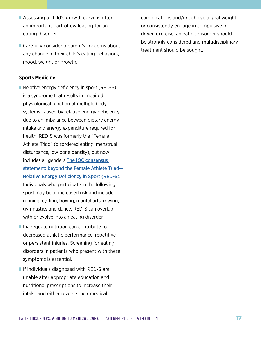- Assessing a child's growth curve is often an important part of evaluating for an eating disorder.
- Carefully consider a parent's concerns about any change in their child's eating behaviors, mood, weight or growth.

#### <span id="page-20-0"></span>**Sports Medicine**

- Relative energy deficiency in sport (RED-S) is a syndrome that results in impaired physiological function of multiple body systems caused by relative energy deficiency due to an imbalance between dietary energy intake and energy expenditure required for health. RED-S was formerly the "Female Athlete Triad" (disordered eating, menstrual disturbance, low bone density), but now includes all genders **The IOC consensus** [statement: beyond the Female Athlete Triad—](https://bjsm.bmj.com/content/bjsports/48/7/491.full.pdf) [Relative Energy Deficiency in Sport \(RED-S](https://bjsm.bmj.com/content/bjsports/48/7/491.full.pdf)). Individuals who participate in the following sport may be at increased risk and include running, cycling, boxing, marital arts, rowing, gymnastics and dance. RED-S can overlap with or evolve into an eating disorder.
- Inadequate nutrition can contribute to decreased athletic performance, repetitive or persistent injuries. Screening for eating disorders in patients who present with these symptoms is essential.
- If individuals diagnosed with RED-S are unable after appropriate education and nutritional prescriptions to increase their intake and either reverse their medical

complications and/or achieve a goal weight, or consistently engage in compulsive or driven exercise, an eating disorder should be strongly considered and multidisciplinary treatment should be sought.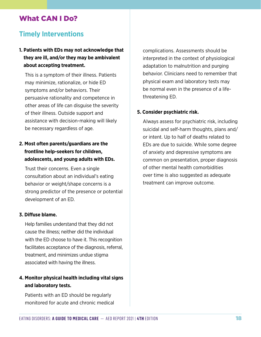# <span id="page-21-0"></span>What CAN I Do?

# **Timely Interventions**

# **1. Patients with EDs may not acknowledge that they are ill, and/or they may be ambivalent about accepting treatment.**

This is a symptom of their illness. Patients may minimize, rationalize, or hide ED symptoms and/or behaviors. Their persuasive rationality and competence in other areas of life can disguise the severity of their illness. Outside support and assistance with decision-making will likely be necessary regardless of age.

# **2. Most often parents/guardians are the frontline help-seekers for children, adolescents, and young adults with EDs.**

Trust their concerns. Even a single consultation about an individual's eating behavior or weight/shape concerns is a strong predictor of the presence or potential development of an ED.

#### **3. Diffuse blame.**

Help families understand that they did not cause the illness; neither did the individual with the ED choose to have it. This recognition facilitates acceptance of the diagnosis, referral, treatment, and minimizes undue stigma associated with having the illness.

# **4. Monitor physical health including vital signs and laboratory tests.**

Patients with an ED should be regularly monitored for acute and chronic medical complications. Assessments should be interpreted in the context of physiological adaptation to malnutrition and purging behavior. Clinicians need to remember that physical exam and laboratory tests may be normal even in the presence of a lifethreatening ED.

# **5. Consider psychiatric risk.**

Always assess for psychiatric risk, including suicidal and self-harm thoughts, plans and/ or intent. Up to half of deaths related to EDs are due to suicide. While some degree of anxiety and depressive symptoms are common on presentation, proper diagnosis of other mental health comorbidities over time is also suggested as adequate treatment can improve outcome.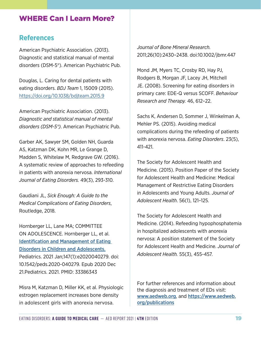# <span id="page-22-0"></span>WHERE Can I Learn More?

# **References**

American Psychiatric Association. (2013). Diagnostic and statistical manual of mental disorders (DSM-5®). American Psychiatric Pub.

Douglas, L. Caring for dental patients with eating disorders. *BDJ Team* 1, 15009 (2015). <https://doi.org/10.1038/bdjteam.2015.9>

American Psychiatric Association. (2013). *Diagnostic and statistical manual of mental disorders (DSM-5®)*. American Psychiatric Pub.

Garber AK, Sawyer SM, Golden NH, Guarda AS, Katzman DK, Kohn MR, Le Grange D, Madden S, Whitelaw M, Redgrave GW. (2016). A systematic review of approaches to refeeding in patients with anorexia nervosa. *International Journal of Eating Disorders.* 49(3), 293-310.

Gaudiani JL, *Sick Enough: A Guide to the Medical Complications of Eating Disorders*, Routledge, 2018.

Hornberger LL, Lane MA; COMMITTEE ON ADOLESCENCE. Hornberger LL, et al. [Identification and Management of Eating](https://pubmed.ncbi.nlm.nih.gov/33386343/)  [Disorders in Children and Adolescents.](https://pubmed.ncbi.nlm.nih.gov/33386343/) Pediatrics. 2021 Jan;147(1):e2020040279. doi: 10.1542/peds.2020-040279. Epub 2020 Dec 21.Pediatrics. 2021. PMID: 33386343

Misra M, Katzman D, Miller KK, et al. Physiologic estrogen replacement increases bone density in adolescent girls with anorexia nervosa.

*Journal of Bone Mineral Research.* 2011;26(10):2430–2438. doi:10.1002/jbmr.447

Mond JM, Myers TC, Crosby RD, Hay PJ, Rodgers B, Morgan JF, Lacey JH, Mitchell JE. (2008). Screening for eating disorders in primary care: EDE-Q versus SCOFF. *Behaviour Research and Therapy.* 46, 612–22.

Sachs K, Andersen D, Sommer J, Winkelman A, Mehler PS. (2015). Avoiding medical complications during the refeeding of patients with anorexia nervosa. *Eating Disorders*. 23(5), 411-421.

The Society for Adolescent Health and Medicine. (2015). Position Paper of the Society for Adolescent Health and Medicine: Medical Management of Restrictive Eating Disorders in Adolescents and Young Adults. *Journal of Adolescent Health*. 56(1), 121–125.

The Society for Adolescent Health and Medicine. (2014). Refeeding hypophosphatemia in hospitalized adolescents with anorexia nervosa: A position statement of the Society for Adolescent Health and Medicine. *Journal of Adolescent Health.* 55(3), 455-457.

For further references and information about the diagnosis and treatment of EDs visit: [www.aedweb.org](http://www.aedweb.org), and [https://www.aedweb.](https://www.aedweb.org/publications) [org/publications](https://www.aedweb.org/publications)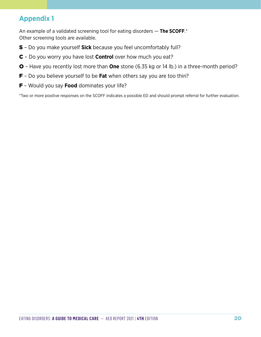# <span id="page-23-0"></span>**Appendix 1**

An example of a validated screening tool for eating disorders — **The SCOFF**.\* Other screening tools are available.

- S Do you make yourself **Sick** because you feel uncomfortably full?
- C Do you worry you have lost **Control** over how much you eat?
- O Have you recently lost more than **One** stone (6.35 kg or 14 lb.) in a three-month period?
- F Do you believe yourself to be **Fat** when others say you are too thin?
- F Would you say **Food** dominates your life?

\*Two or more positive responses on the SCOFF indicates a possible ED and should prompt referral for further evaluation.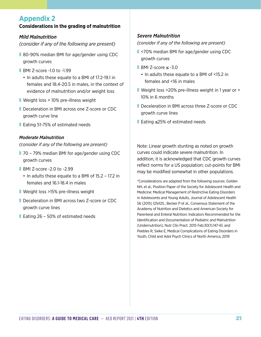# **Appendix 2**

#### **Considerations in the grading of malnutrition**

#### *Mild Malnutrition*

*(consider if any of the following are present)*

- 80-90% median BMI for age/gender using CDC growth curves
- BMI Z-score -1.0 to -1.99
	- In adults these equate to a BMI of 17.2-19.1 in females and 18.4-20.5 in males, in the context of evidence of malnutrition and/or weight loss
- Weight loss > 10% pre-illness weight
- Deceleration in BMI across one Z-score or CDC growth curve line
- Eating 51-75% of estimated needs

#### *Moderate Malnutrition*

*(consider if any of the following are present)*

- 70 79% median BMI for age/gender using CDC growth curves
- BMI Z-score -2.0 to -2.99
	- In adults these equate to a BMI of 15.2 17.2 in females and 16.1-18.4 in males
- Weight loss >15% pre-illness weight
- Deceleration in BMI across two Z-score or CDC growth curve lines
- Eating 26 50% of estimated needs

### *Severe Malnutrition*

*(consider if any of the following are present)*

- <70% median BMI for age/gender using CDC growth curves
- $B$ MI Z-score  $\leq$  -3.0
	- In adults these equate to a BMI of <15.2 in females and <16 in males
- Weight loss >20% pre-illness weight in 1 year or > 10% in 6 months
- Deceleration in BMI across three Z-score or CDC growth curve lines
- ❚ Eating ≤25% of estimated needs

Note: Linear growth stunting as noted on growth curves could indicate severe malnutrition. In addition, it is acknowledged that CDC growth curves reflect norms for a US population; cut-points for BMI may be modified somewhat in other populations.

\*Considerations are adapted from the following sources: Golden NH, et al., Position Paper of the Society for Adolescent Health and Medicine: Medical Management of Restrictive Eating Disorders in Adolescents and Young Adults, Journal of Adolescent Health 56 (2015) 121e125., Becker P et al., Consensus Statement of the Academy of Nutrition and Dietetics and American Society for Parenteral and Enteral Nutrition: Indicators Recommended for the Identification and Documentation of Pediatric and Malnutrition (Undernutrition), Nutr Clin Pract. 2015 Feb;30(1):147-61, and Peebles R, Sieke E, Medical Complications of Eating Disorders in Youth, Child and Adol Psych Clinics of North America, 2019